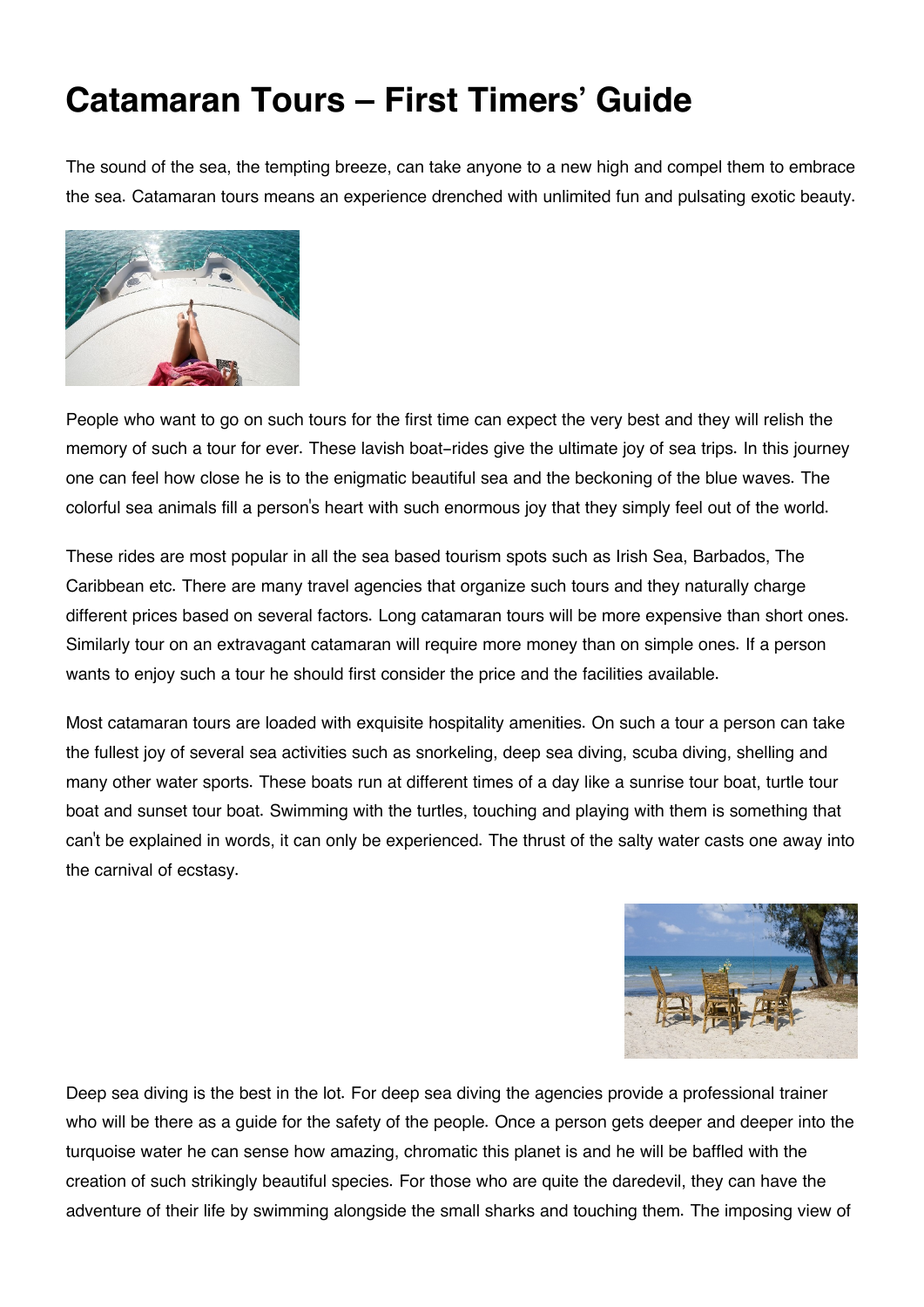## **Catamaran Tours – First Timers' Guide**

The sound of the sea, the tempting breeze, can take anyone to a new high and compel them to embrace the sea. Catamaran tours means an experience drenched with unlimited fun and pulsating exotic beauty.



People who want to go on such tours for the first time can expect the very best and they will relish the memory of such a tour for ever. These lavish boat-rides give the ultimate joy of sea trips. In this journey one can feel how close he is to the enigmatic beautiful sea and the beckoning of the blue waves. The colorful sea animals fill a person's heart with such enormous joy that they simply feel out of the world.

These rides are most popular in all the sea based tourism spots such as Irish Sea, Barbados, The Caribbean etc. There are many travel agencies that organize such tours and they naturally charge different prices based on several factors. Long catamaran tours will be more expensive than short ones. Similarly tour on an extravagant catamaran will require more money than on simple ones. If a person wants to enjoy such a tour he should first consider the price and the facilities available.

Most catamaran tours are loaded with exquisite hospitality amenities. On such a tour a person can take the fullest joy of several sea activities such as snorkeling, deep sea diving, scuba diving, shelling and many other water sports. These boats run at different times of a day like a sunrise tour boat, turtle tour boat and sunset tour boat. Swimming with the turtles, touching and playing with them is something that can't be explained in words, it can only be experienced. The thrust of the salty water casts one away into the carnival of ecstasy.



Deep sea diving is the best in the lot. For deep sea diving the agencies provide a professional trainer who will be there as a guide for the safety of the people. Once a person gets deeper and deeper into the turquoise water he can sense how amazing, chromatic this planet is and he will be baffled with the creation of such strikingly beautiful species. For those who are quite the daredevil, they can have the adventure of their life by swimming alongside the small sharks and touching them. The imposing view of